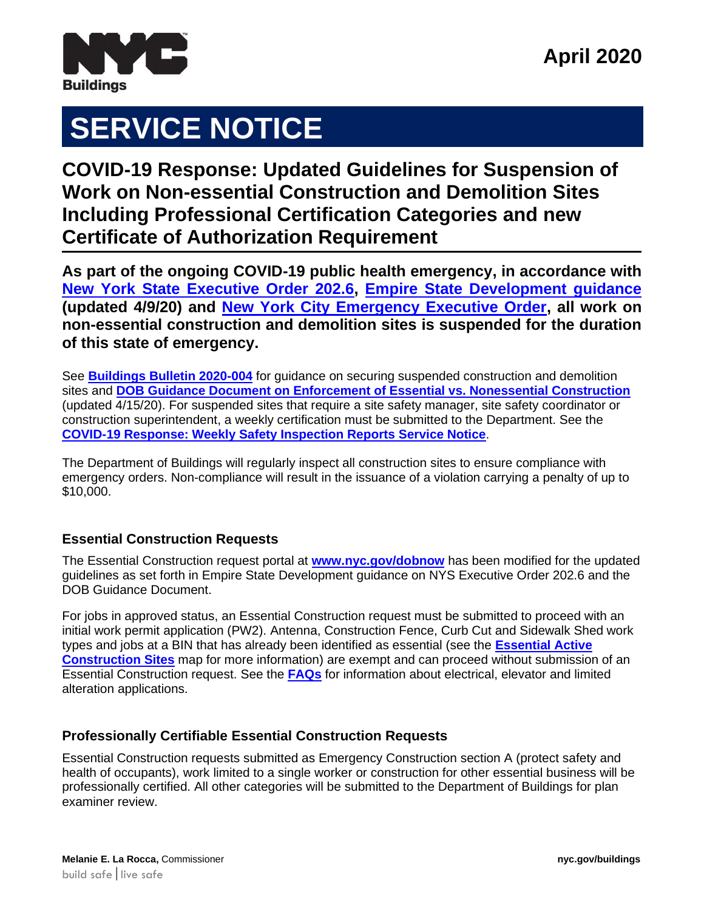



# **SERVICE NOTICE**

# **COVID-19 Response: Updated Guidelines for Suspension of Work on Non-essential Construction and Demolition Sites Including Professional Certification Categories and new Certificate of Authorization Requirement June 2010**

**As part of the ongoing COVID-19 public health emergency, in accordance with [New York State Executive Order 202.6,](https://www.governor.ny.gov/news/no-2026-continuing-temporary-suspension-and-modification-laws-relating-disaster-emergency) [Empire State Development guidance](https://esd.ny.gov/guidance-executive-order-2026) (updated 4/9/20) and [New York City Emergency Executive Order,](https://www1.nyc.gov/office-of-the-mayor/news.page) all work on non-essential construction and demolition sites is suspended for the duration of this state of emergency.**

See **[Buildings Bulletin 2020-004](https://www1.nyc.gov/assets/buildings/bldgs_bulletins/bb_2020-004.pdf)** for guidance on securing suspended construction and demolition sites and **[DOB Guidance Document on Enforcement of Essential vs. Nonessential Construction](https://www1.nyc.gov/assets/buildings/pdf/essential_vs_non-essential.pdf)** (updated 4/15/20). For suspended sites that require a site safety manager, site safety coordinator or construction superintendent, a weekly certification must be submitted to the Department. See the **[COVID-19 Response: Weekly Safety Inspection Reports Service Notice](https://www1.nyc.gov/assets/buildings/pdf/covid-19_weekly_safety_insp_sn.pdf)**.

The Department of Buildings will regularly inspect all construction sites to ensure compliance with emergency orders. Non-compliance will result in the issuance of a violation carrying a penalty of up to \$10,000.

## **Essential Construction Requests**

The Essential Construction request portal at **[www.nyc.gov/dobnow](http://www.nyc.gov/dobnow)** has been modified for the updated guidelines as set forth in Empire State Development guidance on NYS Executive Order 202.6 and the DOB Guidance Document.

For jobs in approved status, an Essential Construction request must be submitted to proceed with an initial work permit application (PW2). Antenna, Construction Fence, Curb Cut and Sidewalk Shed work types and jobs at a BIN that has already been identified as essential (see the **[Essential Active](https://www1.nyc.gov/assets/buildings/html/essential-active-construction.html)  [Construction Sites](https://www1.nyc.gov/assets/buildings/html/essential-active-construction.html)** map for more information) are exempt and can proceed without submission of an Essential Construction request. See the **[FAQs](https://www1.nyc.gov/assets/buildings/pdf/covid-19_construction_faqs.pdf)** for information about electrical, elevator and limited alteration applications.

## **Professionally Certifiable Essential Construction Requests**

Essential Construction requests submitted as Emergency Construction section A (protect safety and health of occupants), work limited to a single worker or construction for other essential business will be professionally certified. All other categories will be submitted to the Department of Buildings for plan examiner review.